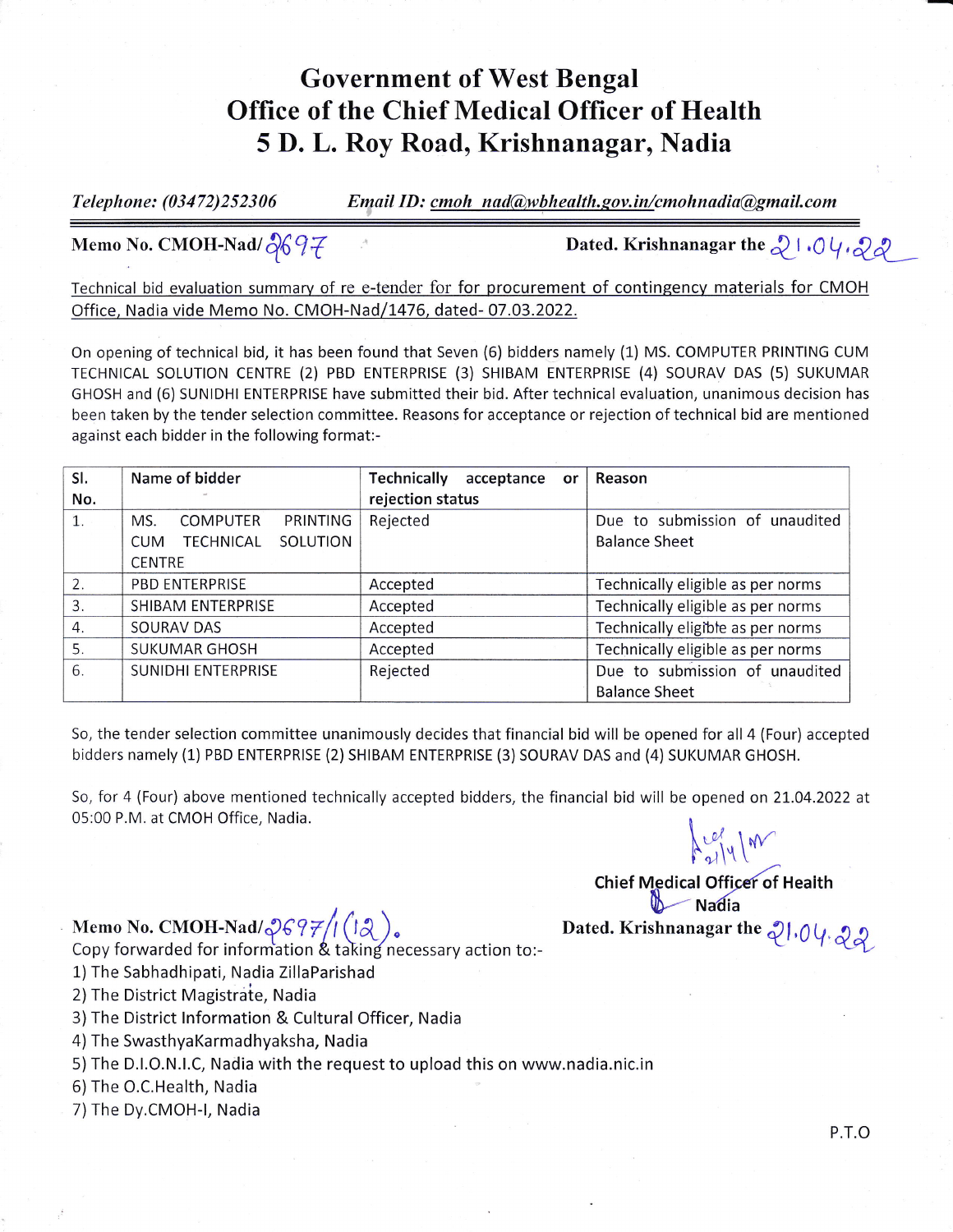## Government of West Bengal Office of the Chief Medical Officer of Health 5 D. L. Roy Road, Krishnanagar, Nadia

Telephone:  $(03472)252306$  Email ID: cmoh nad@wbhealth.gov.in/cmohnadia@gmail.com

Memo No. CMOH-Nad/ $\partial\!\!\delta\mathcal{G}\bar{\mathcal{H}}$ 

Dated. Krishnanagar the  $\sqrt[3]{\cdot}$  .  $0\sqrt[3]{\sqrt[3]{\mathcal{A}}}$ 

Technical bid evaluation summary of re e-tender for for procurement of contingency materials for CMOH Office, Nadia vide Memo No. CMOH-Nad/1476, dated-07.03.2022.

On opening of technical bid, it has been found that Seven (6) bidders namely (1) MS. COMPUTER PRINTING CUM TECHNICAL SOLUTION CENTRE (2) PBD ENTERPRISE (3) SHIBAM ENTERPRISE (4) SOURAV DAS (5) SUKUMAR GHOSH and (6) SUNIDHI ENTERPRISE have submitted their bid. After technical evaluation, unanimous decision has been taken by the tender selection committee. Reasons for acceptance or rejection of technical bid are mentioned against each bidder in the following format:-

| SI.                   | Name of bidder                             | Technically<br>acceptance<br>or | Reason                            |
|-----------------------|--------------------------------------------|---------------------------------|-----------------------------------|
| No.                   |                                            | rejection status                |                                   |
| $\mathbf{1}$ .        | <b>COMPUTER</b><br>PRINTING<br>MS.         | Rejected                        | Due to submission of unaudited    |
|                       | SOLUTION<br><b>TECHNICAL</b><br><b>CUM</b> |                                 | <b>Balance Sheet</b>              |
|                       | <b>CENTRE</b>                              |                                 |                                   |
| 2.                    | <b>PBD ENTERPRISE</b>                      | Accepted                        | Technically eligible as per norms |
| 3.                    | SHIBAM ENTERPRISE                          | Accepted                        | Technically eligible as per norms |
| $\mathcal{A}_{\cdot}$ | SOURAV DAS                                 | Accepted                        | Technically eligible as per norms |
| 5.                    | <b>SUKUMAR GHOSH</b>                       | Accepted                        | Technically eligible as per norms |
| 6.                    | SUNIDHI ENTERPRISE                         | Rejected                        | Due to submission of unaudited    |
|                       |                                            |                                 | <b>Balance Sheet</b>              |

So, the tender selection committee unanimously decides that financial bid will be opened for all 4 (Four) accepted bidders namely (1) PBD ENTERPRISE (2) SHIBAM ENTERPRISE (3) SOURAV DAS and (4) SUKUMAR GHOSH.

So, for 4 (Four) above mentioned technically accepted bidders, the financial bid will be opened on 2t.04.2O22 at 05:00 P.M. at CMOH Office, Nadia.  $\left\{ \begin{matrix} \nu & \nu \\ \nu & \nu \end{matrix} \right\}$ 

Memo No. CMOH-Nad/Z697/1([12 )<br>Copy forwarded for information & taking necessary action to:-

1) The Sabhadhipati, Nadia ZillaParishad

2) The District Magistrate, Nadia

3)The District lnformation & Cultural Officer, Nadia

) The SwasthyaKarmadhyaksha, Nadia

5) The D.l.O.N.l.C, Nadia with the request to upload this on www.nadia.nic.in

6) The O.C.Health, Nadia

7)The Dy.CMOH-|, Nadia

 $1$   $|4|$ Chief Medical Officer of Health  $\delta$  - Nadia Dated. Krishnanagar the  $21.04$   $22$